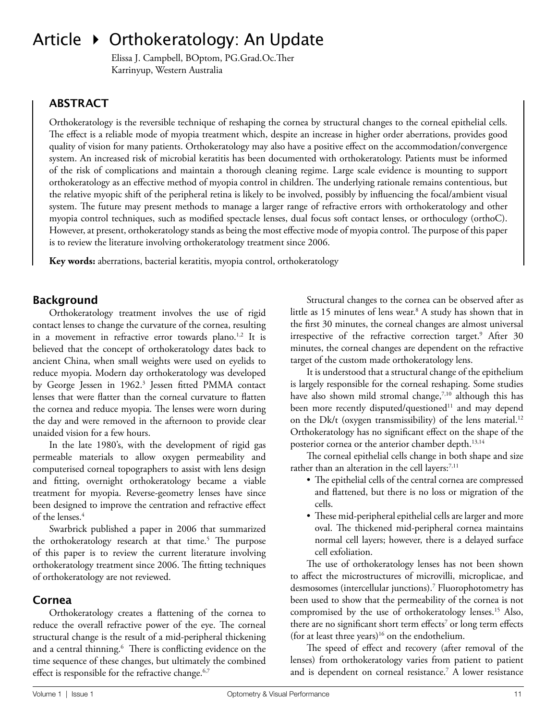# Article ▶ Orthokeratology: An Update

 Elissa J. Campbell, BOptom, PG.Grad.Oc.Ther Karrinyup, Western Australia

## **ABSTRACT**

Orthokeratology is the reversible technique of reshaping the cornea by structural changes to the corneal epithelial cells. The effect is a reliable mode of myopia treatment which, despite an increase in higher order aberrations, provides good quality of vision for many patients. Orthokeratology may also have a positive effect on the accommodation/convergence system. An increased risk of microbial keratitis has been documented with orthokeratology. Patients must be informed of the risk of complications and maintain a thorough cleaning regime. Large scale evidence is mounting to support orthokeratology as an effective method of myopia control in children. The underlying rationale remains contentious, but the relative myopic shift of the peripheral retina is likely to be involved, possibly by influencing the focal/ambient visual system. The future may present methods to manage a larger range of refractive errors with orthokeratology and other myopia control techniques, such as modified spectacle lenses, dual focus soft contact lenses, or orthoculogy (orthoC). However, at present, orthokeratology stands as being the most effective mode of myopia control. The purpose of this paper is to review the literature involving orthokeratology treatment since 2006.

**Key words:** aberrations, bacterial keratitis, myopia control, orthokeratology

## **Background**

Orthokeratology treatment involves the use of rigid contact lenses to change the curvature of the cornea, resulting in a movement in refractive error towards plano.<sup>1,2</sup> It is believed that the concept of orthokeratology dates back to ancient China, when small weights were used on eyelids to reduce myopia. Modern day orthokeratology was developed by George Jessen in 1962.<sup>3</sup> Jessen fitted PMMA contact lenses that were flatter than the corneal curvature to flatten the cornea and reduce myopia. The lenses were worn during the day and were removed in the afternoon to provide clear unaided vision for a few hours.

In the late 1980's, with the development of rigid gas permeable materials to allow oxygen permeability and computerised corneal topographers to assist with lens design and fitting, overnight orthokeratology became a viable treatment for myopia. Reverse-geometry lenses have since been designed to improve the centration and refractive effect of the lenses.<sup>4</sup>

Swarbrick published a paper in 2006 that summarized the orthokeratology research at that time.<sup>5</sup> The purpose of this paper is to review the current literature involving orthokeratology treatment since 2006. The fitting techniques of orthokeratology are not reviewed.

### **Cornea**

Orthokeratology creates a flattening of the cornea to reduce the overall refractive power of the eye. The corneal structural change is the result of a mid-peripheral thickening and a central thinning.<sup>6</sup> There is conflicting evidence on the time sequence of these changes, but ultimately the combined effect is responsible for the refractive change.<sup>6,7</sup>

Structural changes to the cornea can be observed after as little as 15 minutes of lens wear.<sup>8</sup> A study has shown that in the first 30 minutes, the corneal changes are almost universal irrespective of the refractive correction target.<sup>9</sup> After 30 minutes, the corneal changes are dependent on the refractive target of the custom made orthokeratology lens.

It is understood that a structural change of the epithelium is largely responsible for the corneal reshaping. Some studies have also shown mild stromal change,<sup>7,10</sup> although this has been more recently disputed/questioned<sup>11</sup> and may depend on the Dk/t (oxygen transmissibility) of the lens material.<sup>12</sup> Orthokeratology has no significant effect on the shape of the posterior cornea or the anterior chamber depth.<sup>13,14</sup>

The corneal epithelial cells change in both shape and size rather than an alteration in the cell layers:<sup>7,11</sup>

- The epithelial cells of the central cornea are compressed and flattened, but there is no loss or migration of the cells.
- These mid-peripheral epithelial cells are larger and more oval. The thickened mid-peripheral cornea maintains normal cell layers; however, there is a delayed surface cell exfoliation.

The use of orthokeratology lenses has not been shown to affect the microstructures of microvilli, microplicae, and desmosomes (intercellular junctions).<sup>7</sup> Fluorophotometry has been used to show that the permeability of the cornea is not compromised by the use of orthokeratology lenses.<sup>15</sup> Also, there are no significant short term effects<sup>7</sup> or long term effects (for at least three years)<sup>16</sup> on the endothelium.

The speed of effect and recovery (after removal of the lenses) from orthokeratology varies from patient to patient and is dependent on corneal resistance.<sup>7</sup> A lower resistance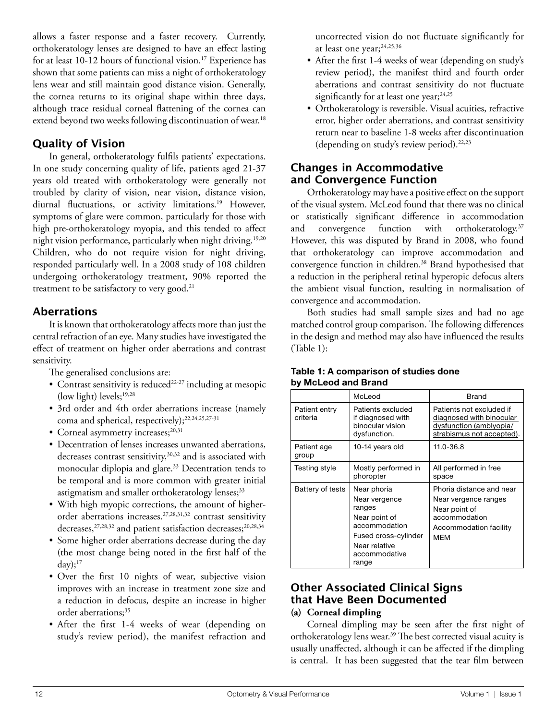allows a faster response and a faster recovery. Currently, orthokeratology lenses are designed to have an effect lasting for at least 10-12 hours of functional vision.<sup>17</sup> Experience has shown that some patients can miss a night of orthokeratology lens wear and still maintain good distance vision. Generally, the cornea returns to its original shape within three days, although trace residual corneal flattening of the cornea can extend beyond two weeks following discontinuation of wear.<sup>18</sup>

## **Quality of Vision**

In general, orthokeratology fulfils patients' expectations. In one study concerning quality of life, patients aged 21-37 years old treated with orthokeratology were generally not troubled by clarity of vision, near vision, distance vision, diurnal fluctuations, or activity limitations.<sup>19</sup> However, symptoms of glare were common, particularly for those with high pre-orthokeratology myopia, and this tended to affect night vision performance, particularly when night driving.<sup>19,20</sup> Children, who do not require vision for night driving, responded particularly well. In a 2008 study of 108 children undergoing orthokeratology treatment, 90% reported the treatment to be satisfactory to very good.<sup>21</sup>

## **Aberrations**

It is known that orthokeratology affects more than just the central refraction of an eye. Many studies have investigated the effect of treatment on higher order aberrations and contrast sensitivity.

The generalised conclusions are:

- Contrast sensitivity is reduced<sup>22-27</sup> including at mesopic (low light) levels;<sup>19,28</sup>
- 3rd order and 4th order aberrations increase (namely coma and spherical, respectively);<sup>22,24,25,27-31</sup>
- Corneal asymmetry increases;<sup>20,31</sup>
- Decentration of lenses increases unwanted aberrations, decreases contrast sensitivity,<sup>30,32</sup> and is associated with monocular diplopia and glare.<sup>33</sup> Decentration tends to be temporal and is more common with greater initial astigmatism and smaller orthokeratology lenses;<sup>33</sup>
- With high myopic corrections, the amount of higherorder aberrations increases.27,28,31,32 contrast sensitivity decreases,<sup>27,28,32</sup> and patient satisfaction decreases;<sup>20,28,34</sup>
- Some higher order aberrations decrease during the day (the most change being noted in the first half of the day); $17$
- Over the first 10 nights of wear, subjective vision improves with an increase in treatment zone size and a reduction in defocus, despite an increase in higher order aberrations;<sup>35</sup>
- After the first 1-4 weeks of wear (depending on study's review period), the manifest refraction and

uncorrected vision do not fluctuate significantly for at least one year;24,25,36

- After the first 1-4 weeks of wear (depending on study's review period), the manifest third and fourth order aberrations and contrast sensitivity do not fluctuate significantly for at least one year;<sup>24,25</sup>
- Orthokeratology is reversible. Visual acuities, refractive error, higher order aberrations, and contrast sensitivity return near to baseline 1-8 weeks after discontinuation (depending on study's review period).22,23

## **Changes in Accommodative and Convergence Function**

Orthokeratology may have a positive effect on the support of the visual system. McLeod found that there was no clinical or statistically significant difference in accommodation and convergence function with orthokeratology.<sup>37</sup> However, this was disputed by Brand in 2008, who found that orthokeratology can improve accommodation and convergence function in children.<sup>38</sup> Brand hypothesised that a reduction in the peripheral retinal hyperopic defocus alters the ambient visual function, resulting in normalisation of convergence and accommodation.

Both studies had small sample sizes and had no age matched control group comparison. The following differences in the design and method may also have influenced the results (Table 1):

|                           | McLeod                                                                                                                                      | <b>Brand</b>                                                                                                               |
|---------------------------|---------------------------------------------------------------------------------------------------------------------------------------------|----------------------------------------------------------------------------------------------------------------------------|
| Patient entry<br>criteria | Patients excluded<br>if diagnosed with<br>binocular vision<br>dysfunction.                                                                  | Patients not excluded if<br>diagnosed with binocular<br>dysfunction (amblyopia/<br>strabismus not accepted).               |
| Patient age<br>group      | 10-14 years old                                                                                                                             | 11.0-36.8                                                                                                                  |
| Testing style             | Mostly performed in<br>phoropter                                                                                                            | All performed in free<br>space                                                                                             |
| Battery of tests          | Near phoria<br>Near vergence<br>ranges<br>Near point of<br>accommodation<br>Fused cross-cylinder<br>Near relative<br>accommodative<br>range | Phoria distance and near<br>Near vergence ranges<br>Near point of<br>accommodation<br>Accommodation facility<br><b>MEM</b> |

#### **Table 1: A comparison of studies done by McLeod and Brand**

#### **Other Associated Clinical Signs that Have Been Documented (a) Corneal dimpling**

Corneal dimpling may be seen after the first night of orthokeratology lens wear.<sup>39</sup> The best corrected visual acuity is usually unaffected, although it can be affected if the dimpling is central. It has been suggested that the tear film between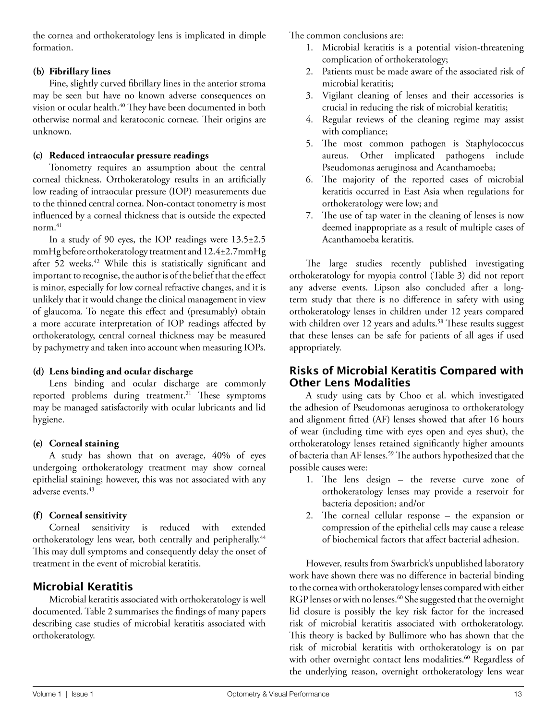the cornea and orthokeratology lens is implicated in dimple formation.

#### **(b) Fibrillary lines**

Fine, slightly curved fibrillary lines in the anterior stroma may be seen but have no known adverse consequences on vision or ocular health.<sup>40</sup> They have been documented in both otherwise normal and keratoconic corneae. Their origins are unknown.

#### **(c) Reduced intraocular pressure readings**

Tonometry requires an assumption about the central corneal thickness. Orthokeratology results in an artificially low reading of intraocular pressure (IOP) measurements due to the thinned central cornea. Non-contact tonometry is most influenced by a corneal thickness that is outside the expected norm. $41$ 

In a study of 90 eyes, the IOP readings were 13.5±2.5 mmHg before orthokeratology treatment and 12.4±2.7mmHg after 52 weeks.<sup>42</sup> While this is statistically significant and important to recognise, the author is of the belief that the effect is minor, especially for low corneal refractive changes, and it is unlikely that it would change the clinical management in view of glaucoma. To negate this effect and (presumably) obtain a more accurate interpretation of IOP readings affected by orthokeratology, central corneal thickness may be measured by pachymetry and taken into account when measuring IOPs.

#### **(d) Lens binding and ocular discharge**

Lens binding and ocular discharge are commonly reported problems during treatment.<sup>21</sup> These symptoms may be managed satisfactorily with ocular lubricants and lid hygiene.

#### **(e) Corneal staining**

A study has shown that on average, 40% of eyes undergoing orthokeratology treatment may show corneal epithelial staining; however, this was not associated with any adverse events.<sup>43</sup>

### **(f) Corneal sensitivity**

Corneal sensitivity is reduced with extended orthokeratology lens wear, both centrally and peripherally.<sup>44</sup> This may dull symptoms and consequently delay the onset of treatment in the event of microbial keratitis.

## **Microbial Keratitis**

Microbial keratitis associated with orthokeratology is well documented. Table 2 summarises the findings of many papers describing case studies of microbial keratitis associated with orthokeratology.

The common conclusions are:

- 1. Microbial keratitis is a potential vision-threatening complication of orthokeratology;
- 2. Patients must be made aware of the associated risk of microbial keratitis;
- 3. Vigilant cleaning of lenses and their accessories is crucial in reducing the risk of microbial keratitis;
- 4. Regular reviews of the cleaning regime may assist with compliance;
- 5. The most common pathogen is Staphylococcus aureus. Other implicated pathogens include Pseudomonas aeruginosa and Acanthamoeba;
- 6. The majority of the reported cases of microbial keratitis occurred in East Asia when regulations for orthokeratology were low; and
- 7. The use of tap water in the cleaning of lenses is now deemed inappropriate as a result of multiple cases of Acanthamoeba keratitis.

The large studies recently published investigating orthokeratology for myopia control (Table 3) did not report any adverse events. Lipson also concluded after a longterm study that there is no difference in safety with using orthokeratology lenses in children under 12 years compared with children over 12 years and adults.<sup>58</sup> These results suggest that these lenses can be safe for patients of all ages if used appropriately.

## **Risks of Microbial Keratitis Compared with Other Lens Modalities**

A study using cats by Choo et al. which investigated the adhesion of Pseudomonas aeruginosa to orthokeratology and alignment fitted (AF) lenses showed that after 16 hours of wear (including time with eyes open and eyes shut), the orthokeratology lenses retained significantly higher amounts of bacteria than AF lenses.<sup>59</sup> The authors hypothesized that the possible causes were:

- 1. The lens design the reverse curve zone of ortho keratology lenses may provide a reservoir for bacteria deposition; and/or
- 2. The corneal cellular response the expansion or compression of the epithelial cells may cause a release of biochemical factors that affect bacterial adhesion.

However, results from Swarbrick's unpublished laboratory work have shown there was no difference in bacterial binding to the cornea with orthokeratology lenses compared with either RGP lenses or with no lenses.<sup>60</sup> She suggested that the overnight lid closure is possibly the key risk factor for the increased risk of microbial keratitis associated with orthokeratology. This theory is backed by Bullimore who has shown that the risk of microbial keratitis with orthokeratology is on par with other overnight contact lens modalities.<sup>60</sup> Regardless of the underlying reason, overnight orthokeratology lens wear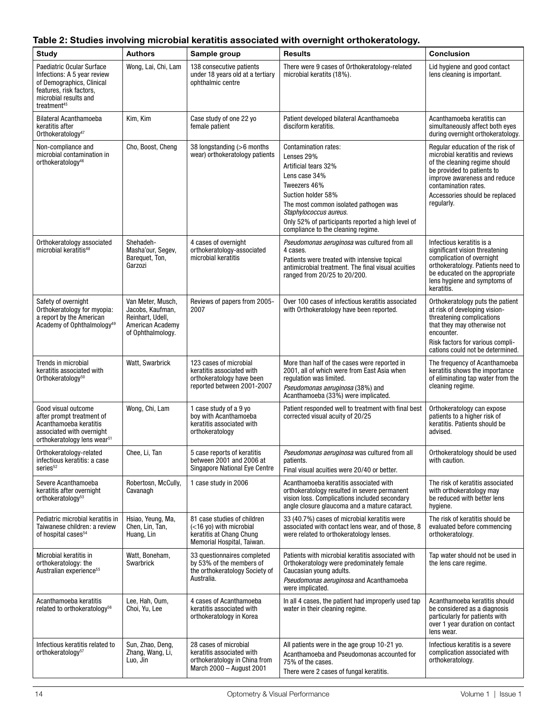|  |  | Table 2: Studies involving microbial keratitis associated with overnight orthokeratology. |  |  |
|--|--|-------------------------------------------------------------------------------------------|--|--|
|--|--|-------------------------------------------------------------------------------------------|--|--|

| <b>Study</b>                                                                                                                                                         | <b>Authors</b>                                                                                     | Sample group                                                                                                     | <b>Results</b>                                                                                                                                                                                                                                                                         | <b>Conclusion</b>                                                                                                                                                                                                                          |
|----------------------------------------------------------------------------------------------------------------------------------------------------------------------|----------------------------------------------------------------------------------------------------|------------------------------------------------------------------------------------------------------------------|----------------------------------------------------------------------------------------------------------------------------------------------------------------------------------------------------------------------------------------------------------------------------------------|--------------------------------------------------------------------------------------------------------------------------------------------------------------------------------------------------------------------------------------------|
| Paediatric Ocular Surface<br>Infections: A 5 year review<br>of Demographics, Clinical<br>features, risk factors,<br>microbial results and<br>treatment <sup>45</sup> | Wong, Lai, Chi, Lam                                                                                | 138 consecutive patients<br>under 18 years old at a tertiary<br>ophthalmic centre                                | There were 9 cases of Orthokeratology-related<br>microbial keratits (18%).                                                                                                                                                                                                             | Lid hygiene and good contact<br>lens cleaning is important.                                                                                                                                                                                |
| <b>Bilateral Acanthamoeba</b><br>keratitis after<br>Orthokeratology <sup>47</sup>                                                                                    | Kim, Kim                                                                                           | Case study of one 22 yo<br>female patient                                                                        | Patient developed bilateral Acanthamoeba<br>disciform keratitis.                                                                                                                                                                                                                       | Acanthamoeba keratitis can<br>simultaneously affect both eyes<br>during overnight orthokeratology.                                                                                                                                         |
| Non-compliance and<br>microbial contamination in<br>orthokeratology <sup>46</sup>                                                                                    | Cho, Boost, Cheng                                                                                  | 38 longstanding (>6 months<br>wear) orthokeratology patients                                                     | <b>Contamination rates:</b><br>Lenses 29%<br>Artificial tears 32%<br>Lens case 34%<br>Tweezers 46%<br>Suction holder 58%<br>The most common isolated pathogen was<br>Staphylococcus aureus.<br>Only 52% of participants reported a high level of<br>compliance to the cleaning regime. | Regular education of the risk of<br>microbial keratitis and reviews<br>of the cleaning regime should<br>be provided to patients to<br>improve awareness and reduce<br>contamination rates.<br>Accessories should be replaced<br>regularly. |
| Orthokeratology associated<br>microbial keratitis <sup>48</sup>                                                                                                      | Shehadeh-<br>Masha'our, Segev,<br>Barequet, Ton,<br>Garzozi                                        | 4 cases of overnight<br>orthokeratology-associated<br>microbial keratitis                                        | <i>Pseudomonas aeruginosa</i> was cultured from all<br>4 cases.<br>Patients were treated with intensive topical<br>antimicrobial treatment. The final visual acuities<br>ranged from 20/25 to 20/200.                                                                                  | Infectious keratitis is a<br>significant vision threatening<br>complication of overnight<br>orthokeratology. Patients need to<br>be educated on the appropriate<br>lens hygiene and symptoms of<br>keratitis.                              |
| Safety of overnight<br>Orthokeratology for myopia:<br>a report by the American<br>Academy of Ophthalmology <sup>49</sup>                                             | Van Meter, Musch,<br>Jacobs, Kaufman,<br>Reinhart, Udell,<br>American Academy<br>of Ophthalmology. | Reviews of papers from 2005-<br>2007                                                                             | Over 100 cases of infectious keratitis associated<br>with Orthokeratology have been reported.                                                                                                                                                                                          | Orthokeratology puts the patient<br>at risk of developing vision-<br>threatening complications<br>that they may otherwise not<br>encounter.<br>Risk factors for various compli-<br>cations could not be determined.                        |
| Trends in microbial<br>keratitis associated with<br>Orthokeratology <sup>50</sup>                                                                                    | Watt, Swarbrick                                                                                    | 123 cases of microbial<br>keratitis associated with<br>orthokeratology have been<br>reported between 2001-2007   | More than half of the cases were reported in<br>2001, all of which were from East Asia when<br>regulation was limited.<br>Pseudomonas aeruginosa (38%) and<br>Acanthamoeba (33%) were implicated.                                                                                      | The frequency of Acanthamoeba<br>keratitis shows the importance<br>of eliminating tap water from the<br>cleaning regime.                                                                                                                   |
| Good visual outcome<br>after prompt treatment of<br>Acanthamoeba keratitis<br>associated with overnight<br>orthokeratology lens wear <sup>51</sup>                   | Wong, Chi, Lam                                                                                     | 1 case study of a 9 yo<br>boy with Acanthamoeba<br>keratitis associated with<br>orthokeratology                  | Patient responded well to treatment with final best<br>corrected visual acuity of 20/25                                                                                                                                                                                                | Orthokeratology can expose<br>patients to a higher risk of<br>keratitis. Patients should be<br>advised.                                                                                                                                    |
| Orthokeratology-related<br>infectious keratitis: a case<br>series <sup>52</sup>                                                                                      | Chee, Li, Tan                                                                                      | 5 case reports of keratitis<br>between 2001 and 2006 at<br>Singapore National Eye Centre                         | Pseudomonas aeruginosa was cultured from all<br>patients.<br>Final visual acuities were 20/40 or better.                                                                                                                                                                               | Orthokeratology should be used<br>with caution.                                                                                                                                                                                            |
| Severe Acanthamoeba<br>keratitis after overnight<br>orthokeratology <sup>53</sup>                                                                                    | Robertosn, McCully,<br>Cavanagh                                                                    | 1 case study in 2006                                                                                             | Acanthamoeba keratitis associated with<br>orthokeratology resulted in severe permanent<br>vision loss. Complications included secondary<br>angle closure glaucoma and a mature cataract.                                                                                               | The risk of keratitis associated<br>with orthokeratology may<br>be reduced with better lens<br>hygiene.                                                                                                                                    |
| Pediatric microbial keratitis in<br>Taiwanese children: a review<br>of hospital cases <sup>54</sup>                                                                  | Hsiao, Yeung, Ma,<br>Chen, Lin, Tan,<br>Huang, Lin                                                 | 81 case studies of children<br>(<16 yo) with microbial<br>keratitis at Chang Chung<br>Memorial Hospital, Taiwan. | 33 (40.7%) cases of microbial keratitis were<br>associated with contact lens wear, and of those, 8<br>were related to orthokeratology lenses.                                                                                                                                          | The risk of keratitis should be<br>evaluated before commencing<br>orthokeratology.                                                                                                                                                         |
| Microbial keratitis in<br>orthokeratology: the<br>Australian experience <sup>55</sup>                                                                                | Watt, Boneham,<br>Swarbrick                                                                        | 33 questionnaires completed<br>by 53% of the members of<br>the orthokeratology Society of<br>Australia.          | Patients with microbial keratitis associated with<br>Orthokeratology were predominately female<br>Caucasian young adults.<br>Pseudomonas aeruginosa and Acanthamoeba<br>were implicated.                                                                                               | Tap water should not be used in<br>the lens care regime.                                                                                                                                                                                   |
| Acanthamoeba keratitis<br>related to orthokeratology <sup>56</sup>                                                                                                   | Lee, Hah, Oum,<br>Choi, Yu, Lee                                                                    | 4 cases of Acanthamoeba<br>keratitis associated with<br>orthokeratology in Korea                                 | In all 4 cases, the patient had improperly used tap<br>water in their cleaning regime.                                                                                                                                                                                                 | Acanthamoeba keratitis should<br>be considered as a diagnosis<br>particularly for patients with<br>over 1 year duration on contact<br>lens wear.                                                                                           |
| Infectious keratitis related to<br>orthokeratology <sup>57</sup>                                                                                                     | Sun, Zhao, Deng,<br>Zhang, Wang, Li,<br>Luo, Jin                                                   | 28 cases of microbial<br>keratitis associated with<br>orthokeratology in China from<br>March 2000 - August 2001  | All patients were in the age group 10-21 yo.<br>Acanthamoeba and Pseudomonas accounted for<br>75% of the cases.<br>There were 2 cases of fungal keratitis.                                                                                                                             | Infectious keratitis is a severe<br>complication associated with<br>orthokeratology.                                                                                                                                                       |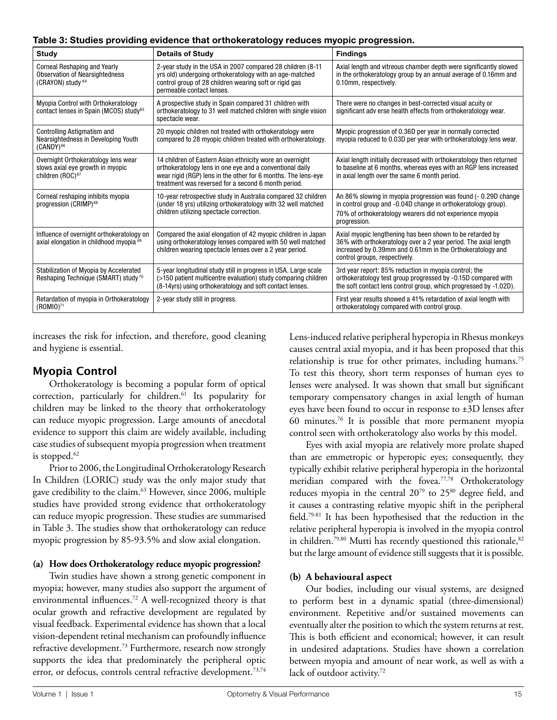|  | Table 3: Studies providing evidence that orthokeratology reduces myopic progression. |  |
|--|--------------------------------------------------------------------------------------|--|

| <b>Study</b>                                                                                            | <b>Details of Study</b>                                                                                                                                                                                                                      | <b>Findings</b>                                                                                                                                                                                                            |
|---------------------------------------------------------------------------------------------------------|----------------------------------------------------------------------------------------------------------------------------------------------------------------------------------------------------------------------------------------------|----------------------------------------------------------------------------------------------------------------------------------------------------------------------------------------------------------------------------|
| Corneal Reshaping and Yearly<br><b>Observation of Nearsightedness</b><br>(CRAYON) study 64              | 2-year study in the USA in 2007 compared 28 children (8-11)<br>yrs old) undergoing orthokeratology with an age-matched<br>control group of 28 children wearing soft or rigid gas<br>permeable contact lenses.                                | Axial length and vitreous chamber depth were significantly slowed<br>in the orthokeratology group by an annual average of 0.16mm and<br>0.10mm, respectively.                                                              |
| Myopia Control with Orthokeratology<br>contact lenses in Spain (MCOS) study <sup>65</sup>               | A prospective study in Spain compared 31 children with<br>orthokeratology to 31 well matched children with single vision<br>spectacle wear.                                                                                                  | There were no changes in best-corrected visual acuity or<br>significant adv erse health effects from orthokeratology wear.                                                                                                 |
| <b>Controlling Astigmatism and</b><br>Nearsightedness in Developing Youth<br>$(CANDY)$ <sup>66</sup>    | 20 myopic children not treated with orthokeratology were<br>compared to 28 myopic children treated with orthokeratology.                                                                                                                     | Myopic progression of 0.36D per year in normally corrected<br>myopia reduced to 0.03D per year with orthokeratology lens wear.                                                                                             |
| Overnight Orthokeratology lens wear<br>slows axial eye growth in myopic<br>children (ROC) <sup>67</sup> | 14 children of Eastern Asian ethnicity wore an overnight<br>orthokeratology lens in one eye and a conventional daily<br>wear rigid (RGP) lens in the other for 6 months. The lens-eye<br>treatment was reversed for a second 6 month period. | Axial length initially decreased with orthokeratology then returned<br>to baseline at 6 months, whereas eyes with an RGP lens increased<br>in axial length over the same 6 month period.                                   |
| Corneal reshaping inhibits myopia<br>progression (CRIMP) <sup>68</sup>                                  | 10-year retrospective study in Australia compared 32 children<br>(under 18 yrs) utilizing orthokeratology with 32 well matched<br>children utilizing spectacle correction.                                                                   | An 86% slowing in myopia progression was found (- 0.29D change<br>in control group and -0.04D change in orthokeratology group).<br>70% of orthokeratology wearers did not experience myopia<br>progression.                |
| Influence of overnight orthokeratology on<br>axial elongation in childhood myopia 69                    | Compared the axial elongation of 42 myopic children in Japan<br>using orthokeratology lenses compared with 50 well matched<br>children wearing spectacle lenses over a 2 year period.                                                        | Axial myopic lengthening has been shown to be retarded by<br>36% with orthokeratology over a 2 year period. The axial length<br>increased by 0.39mm and 0.61mm in the Orthokeratology and<br>control groups, respectively. |
| Stabilization of Myopia by Accelerated<br>Reshaping Technique (SMART) study <sup>70</sup>               | 5-year longitudinal study still in progress in USA. Large scale<br>(>150 patient multicentre evaluation) study comparing children<br>(8-14yrs) using orthokeratology and soft contact lenses.                                                | 3rd year report: 85% reduction in myopia control; the<br>orthokeratology test group progressed by -0.15D compared with<br>the soft contact lens control group, which progressed by -1.02D).                                |
| Retardation of myopia in Orthokeratology<br>$(ROMIO)^{71}$                                              | 2-year study still in progress.                                                                                                                                                                                                              | First year results showed a 41% retardation of axial length with<br>orthokeratology compared with control group.                                                                                                           |

increases the risk for infection, and therefore, good cleaning and hygiene is essential.

# **Myopia Control**

Orthokeratology is becoming a popular form of optical correction, particularly for children.<sup>61</sup> Its popularity for children may be linked to the theory that orthokeratology can reduce myopic progression. Large amounts of anecdotal evidence to support this claim are widely available, including case studies of subsequent myopia progression when treatment is stopped.<sup>62</sup>

Prior to 2006, the Longitudinal Orthokeratology Research In Children (LORIC) study was the only major study that gave credibility to the claim.<sup>63</sup> However, since 2006, multiple studies have provided strong evidence that orthokeratology can reduce myopic progression. These studies are summarised in Table 3. The studies show that orthokeratology can reduce myopic progression by 85-93.5% and slow axial elongation.

### **(a) How does Orthokeratology reduce myopic progression?**

Twin studies have shown a strong genetic component in myopia; however, many studies also support the argument of environmental influences.<sup>72</sup> A well-recognized theory is that ocular growth and refractive development are regulated by visual feedback. Experimental evidence has shown that a local vision-dependent retinal mechanism can profoundly influence refractive development.<sup>73</sup> Furthermore, research now strongly supports the idea that predominately the peripheral optic error, or defocus, controls central refractive development.<sup>73,74</sup>

Lens-induced relative peripheral hyperopia in Rhesus monkeys causes central axial myopia, and it has been proposed that this relationship is true for other primates, including humans.<sup>75</sup> To test this theory, short term responses of human eyes to lenses were analysed. It was shown that small but significant temporary compensatory changes in axial length of human eyes have been found to occur in response to ±3D lenses after 60 minutes. $76$  It is possible that more permanent myopia control seen with orthokeratology also works by this model.

Eyes with axial myopia are relatively more prolate shaped than are emmetropic or hyperopic eyes; consequently, they typically exhibit relative peripheral hyperopia in the horizontal meridian compared with the fovea.77,78 Orthokeratology reduces myopia in the central 20<sup>79</sup> to 25<sup>80</sup> degree field, and it causes a contrasting relative myopic shift in the peripheral field.79-81 It has been hypothesised that the reduction in the relative peripheral hyperopia is involved in the myopia control in children.<sup>79,80</sup> Mutti has recently questioned this rationale,<sup>82</sup> but the large amount of evidence still suggests that it is possible.

## **(b) A behavioural aspect**

Our bodies, including our visual systems, are designed to perform best in a dynamic spatial (three-dimensional) environment. Repetitive and/or sustained movements can eventually alter the position to which the system returns at rest. This is both efficient and economical; however, it can result in undesired adaptations. Studies have shown a correlation between myopia and amount of near work, as well as with a lack of outdoor activity.<sup>72</sup>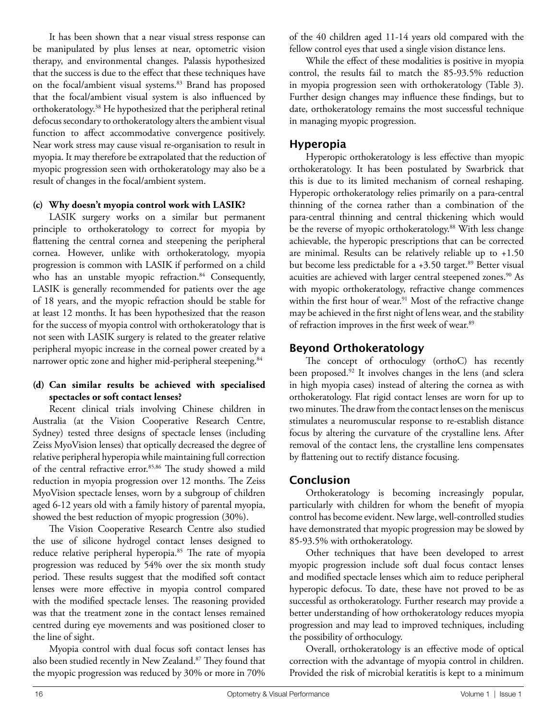It has been shown that a near visual stress response can be manipulated by plus lenses at near, optometric vision therapy, and environmental changes. Palassis hypothesized that the success is due to the effect that these techniques have on the focal/ambient visual systems.<sup>83</sup> Brand has proposed that the focal/ambient visual system is also influenced by orthokeratology.<sup>38</sup> He hypothesized that the peripheral retinal defocus secondary to orthokeratology alters the ambient visual function to affect accommodative convergence positively. Near work stress may cause visual re-organisation to result in myopia. It may therefore be extrapolated that the reduction of myopic progression seen with orthokeratology may also be a result of changes in the focal/ambient system.

#### **(c) Why doesn't myopia control work with LASIK?**

LASIK surgery works on a similar but permanent principle to orthokeratology to correct for myopia by flattening the central cornea and steepening the peripheral cornea. However, unlike with orthokeratology, myopia progression is common with LASIK if performed on a child who has an unstable myopic refraction.<sup>84</sup> Consequently, LASIK is generally recommended for patients over the age of 18 years, and the myopic refraction should be stable for at least 12 months. It has been hypothesized that the reason for the success of myopia control with orthokeratology that is not seen with LASIK surgery is related to the greater relative peripheral myopic increase in the corneal power created by a narrower optic zone and higher mid-peripheral steepening.<sup>84</sup>

#### **(d) Can similar results be achieved with specialised spectacles or soft contact lenses?**

Recent clinical trials involving Chinese children in Australia (at the Vision Cooperative Research Centre, Sydney) tested three designs of spectacle lenses (including Zeiss MyoVision lenses) that optically decreased the degree of relative peripheral hyperopia while maintaining full correction of the central refractive error.<sup>85,86</sup> The study showed a mild reduction in myopia progression over 12 months. The Zeiss MyoVision spectacle lenses, worn by a subgroup of children aged 6-12 years old with a family history of parental myopia, showed the best reduction of myopic progression (30%).

The Vision Cooperative Research Centre also studied the use of silicone hydrogel contact lenses designed to reduce relative peripheral hyperopia.<sup>85</sup> The rate of myopia progression was reduced by 54% over the six month study period. These results suggest that the modified soft contact lenses were more effective in myopia control compared with the modified spectacle lenses. The reasoning provided was that the treatment zone in the contact lenses remained centred during eye movements and was positioned closer to the line of sight.

Myopia control with dual focus soft contact lenses has also been studied recently in New Zealand.<sup>87</sup> They found that the myopic progression was reduced by 30% or more in 70%

of the 40 children aged 11-14 years old compared with the fellow control eyes that used a single vision distance lens.

While the effect of these modalities is positive in myopia control, the results fail to match the 85-93.5% reduction in myopia progression seen with orthokeratology (Table 3). Further design changes may influence these findings, but to date, orthokeratology remains the most successful technique in managing myopic progression.

# **Hyperopia**

Hyperopic orthokeratology is less effective than myopic orthokeratology. It has been postulated by Swarbrick that this is due to its limited mechanism of corneal reshaping. Hyperopic orthokeratology relies primarily on a para-central thinning of the cornea rather than a combination of the para-central thinning and central thickening which would be the reverse of myopic orthokeratology.<sup>88</sup> With less change achievable, the hyperopic prescriptions that can be corrected are minimal. Results can be relatively reliable up to +1.50 but become less predictable for a  $+3.50$  target.<sup>89</sup> Better visual acuities are achieved with larger central steepened zones.<sup>90</sup> As with myopic orthokeratology, refractive change commences within the first hour of wear.<sup>91</sup> Most of the refractive change may be achieved in the first night of lens wear, and the stability of refraction improves in the first week of wear.<sup>89</sup>

# **Beyond Orthokeratology**

The concept of orthoculogy (orthoC) has recently been proposed.<sup>92</sup> It involves changes in the lens (and sclera in high myopia cases) instead of altering the cornea as with orthokeratology. Flat rigid contact lenses are worn for up to two minutes. The draw from the contact lenses on the meniscus stimulates a neuromuscular response to re-establish distance focus by altering the curvature of the crystalline lens. After removal of the contact lens, the crystalline lens compensates by flattening out to rectify distance focusing.

# **Conclusion**

Orthokeratology is becoming increasingly popular, particularly with children for whom the benefit of myopia control has become evident. New large, well-controlled studies have demonstrated that myopic progression may be slowed by 85-93.5% with orthokeratology.

Other techniques that have been developed to arrest myopic progression include soft dual focus contact lenses and modified spectacle lenses which aim to reduce peripheral hyperopic defocus. To date, these have not proved to be as successful as orthokeratology. Further research may provide a better understanding of how orthokeratology reduces myopia progression and may lead to improved techniques, including the possibility of orthoculogy.

Overall, orthokeratology is an effective mode of optical correction with the advantage of myopia control in children. Provided the risk of microbial keratitis is kept to a minimum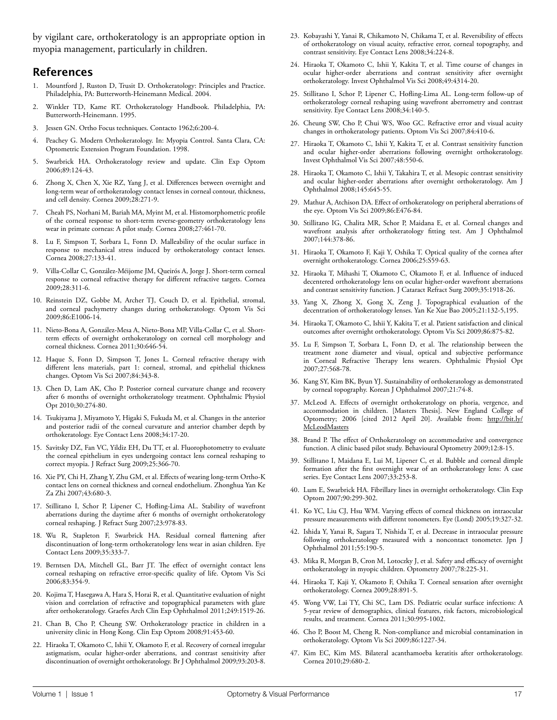by vigilant care, orthokeratology is an appropriate option in myopia management, particularly in children.

### **References**

- Mountford J, Ruston D, Trusit D. Orthokeratology: Principles and Practice. Philadelphia, PA: Butterworth-Heinemann Medical. 2004.
- 2. Winkler TD, Kame RT. Orthokeratology Handbook. Philadelphia, PA: Butterworth-Heinemann. 1995.
- 3. Jessen GN. Ortho Focus techniques. Contacto 1962;6:200-4.
- Peachey G. Modern Orthokeratology. In: Myopia Control. Santa Clara, CA: Optometric Extension Program Foundation. 1998.
- 5. Swarbrick HA. Orthokeratology review and update. Clin Exp Optom 2006;89:124-43.
- 6. Zhong X, Chen X, Xie RZ, Yang J, et al. Differences between overnight and long-term wear of orthokeratology contact lenses in corneal contour, thickness, and cell density. Cornea 2009;28:271-9.
- 7. Cheah PS, Norhani M, Bariah MA, Myint M, et al. Histomorphometric profile of the corneal response to short-term reverse-geometry orthokeratology lens wear in primate corneas: A pilot study. Cornea 2008;27:461-70.
- 8. Lu F, Simpson T, Sorbara L, Fonn D. Malleability of the ocular surface in response to mechanical stress induced by orthokeratology contact lenses. Cornea 2008;27:133-41.
- 9. Villa-Collar C, González-Méijome JM, Queirós A, Jorge J. Short-term corneal response to corneal refractive therapy for different refractive targets. Cornea 2009;28:311-6.
- 10. Reinstein DZ, Gobbe M, Archer TJ, Couch D, et al. Epithelial, stromal, and corneal pachymetry changes during orthokeratology. Optom Vis Sci 2009;86:E1006-14.
- 11. Nieto-Bona A, González-Mesa A, Nieto-Bona MP, Villa-Collar C, et al. Shortterm effects of overnight orthokeratology on corneal cell morphology and corneal thickness. Cornea 2011;30:646-54.
- 12. Haque S, Fonn D, Simpson T, Jones L. Corneal refractive therapy with different lens materials, part 1: corneal, stromal, and epithelial thickness changes. Optom Vis Sci 2007;84:343-8.
- 13. Chen D, Lam AK, Cho P. Posterior corneal curvature change and recovery after 6 months of overnight orthokeratology treatment. Ophthalmic Physiol Opt 2010;30:274-80.
- 14. Tsukiyama J, Miyamoto Y, Higaki S, Fukuda M, et al. Changes in the anterior and posterior radii of the corneal curvature and anterior chamber depth by orthokeratology. Eye Contact Lens 2008;34:17-20.
- 15. Savitsky DZ, Fan VC, Yildiz EH, Du TT, et al. Fluorophotometry to evaluate the corneal epithelium in eyes undergoing contact lens corneal reshaping to correct myopia. J Refract Surg 2009;25:366-70.
- 16. Xie PY, Chi H, Zhang Y, Zhu GM, et al. Effects of wearing long-term Ortho-K contact lens on corneal thickness and corneal endothelium. Zhonghua Yan Ke Za Zhi 2007;43:680-3.
- 17. Stillitano I, Schor P, Lipener C, Hofling-Lima AL. Stability of wavefront aberrations during the daytime after 6 months of overnight orthokeratology corneal reshaping. J Refract Surg 2007;23:978-83.
- 18. Wu R, Stapleton F, Swarbrick HA. Residual corneal flattening after discontinuation of long-term orthokeratology lens wear in asian children. Eye Contact Lens 2009;35:333-7.
- 19. Berntsen DA, Mitchell GL, Barr JT. The effect of overnight contact lens corneal reshaping on refractive error-specific quality of life. Optom Vis Sci 2006;83:354-9.
- 20. Kojima T, Hasegawa A, Hara S, Horai R, et al. Quantitative evaluation of night vision and correlation of refractive and topographical parameters with glare after orthokeratology. Graefes Arch Clin Exp Ophthalmol 2011;249:1519-26.
- 21. Chan B, Cho P, Cheung SW. Orthokeratology practice in children in a university clinic in Hong Kong. Clin Exp Optom 2008;91:453-60.
- 22. Hiraoka T, Okamoto C, Ishii Y, Okamoto F, et al. Recovery of corneal irregular astigmatism, ocular higher-order aberrations, and contrast sensitivity after discontinuation of overnight orthokeratology. Br J Ophthalmol 2009;93:203-8.
- 23. Kobayashi Y, Yanai R, Chikamoto N, Chikama T, et al. Reversibility of effects of orthokeratology on visual acuity, refractive error, corneal topography, and contrast sensitivity. Eye Contact Lens 2008;34:224-8.
- 24. Hiraoka T, Okamoto C, Ishii Y, Kakita T, et al. Time course of changes in ocular higher-order aberrations and contrast sensitivity after overnight orthokeratology. Invest Ophthalmol Vis Sci 2008;49:4314-20.
- 25. Stillitano I, Schor P, Lipener C, Hofling-Lima AL. Long-term follow-up of orthokeratology corneal reshaping using wavefront aberrometry and contrast sensitivity. Eye Contact Lens 2008;34:140-5.
- 26. Cheung SW, Cho P, Chui WS, Woo GC. Refractive error and visual acuity changes in orthokeratology patients. Optom Vis Sci 2007;84:410-6.
- 27. Hiraoka T, Okamoto C, Ishii Y, Kakita T, et al. Contrast sensitivity function and ocular higher-order aberrations following overnight orthokeratology. Invest Ophthalmol Vis Sci 2007;48:550-6.
- 28. Hiraoka T, Okamoto C, Ishii Y, Takahira T, et al. Mesopic contrast sensitivity and ocular higher-order aberrations after overnight orthokeratology. Am J Ophthalmol 2008;145:645-55.
- 29. Mathur A, Atchison DA. Effect of orthokeratology on peripheral aberrations of the eye. Optom Vis Sci 2009;86:E476-84.
- 30. Stillitano IG, Chalita MR, Schor P, Maidana E, et al. Corneal changes and wavefront analysis after orthokeratology fitting test. Am J Ophthalmol 2007;144:378-86.
- 31. Hiraoka T, Okamoto F, Kaji Y, Oshika T. Optical quality of the cornea after overnight orthokeratology. Cornea 2006;25:S59-63.
- 32. Hiraoka T, Mihashi T, Okamoto C, Okamoto F, et al. Influence of induced decentered orthokeratology lens on ocular higher-order wavefront aberrations and contrast sensitivity function. J Cataract Refract Surg 2009;35:1918-26.
- 33. Yang X, Zhong X, Gong X, Zeng J. Topographical evaluation of the decentration of orthokeratology lenses. Yan Ke Xue Bao 2005;21:132-5,195.
- 34. Hiraoka T, Okamoto C, Ishii Y, Kakita T, et al. Patient satisfaction and clinical outcomes after overnight orthokeratology. Optom Vis Sci 2009;86:875-82.
- 35. Lu F, Simpson T, Sorbara L, Fonn D, et al. The relationship between the treatment zone diameter and visual, optical and subjective performance in Corneal Refractive Therapy lens wearers. Ophthalmic Physiol Opt 2007;27:568-78.
- 36. Kang SY, Kim BK, Byun YJ. Sustainability of orthokeratology as demonstrated by corneal topography. Korean J Ophthalmol 2007;21:74-8.
- 37. McLeod A. Effects of overnight orthokeratology on phoria, vergence, and accommodation in children. [Masters Thesis]. New England College of Optometry; 2006 [cited 2012 April 20]. Available from: [http://bit.ly/](http://bit.ly/McLeodMasters) **[McLeodMasters](http://bit.ly/McLeodMasters)**
- 38. Brand P. The effect of Orthokeratology on accommodative and convergence function. A clinic based pilot study. Behavioural Optometry 2009;12:8-15.
- 39. Stillitano I, Maidana E, Lui M, Lipener C, et al. Bubble and corneal dimple formation after the first overnight wear of an orthokeratology lens: A case series. Eye Contact Lens 2007;33:253-8.
- 40. Lum E, Swarbrick HA. Fibrillary lines in overnight orthokeratology. Clin Exp Optom 2007;90:299-302.
- 41. Ko YC, Liu CJ, Hsu WM. Varying effects of corneal thickness on intraocular pressure measurements with different tonometers. Eye (Lond) 2005;19:327-32.
- 42. Ishida Y, Yanai R, Sagara T, Nishida T, et al. Decrease in intraocular pressure following orthokeratology measured with a noncontact tonometer. Jpn J Ophthalmol 2011;55:190-5.
- 43. Mika R, Morgan B, Cron M, Lotoczky J, et al. Safety and efficacy of overnight orthokeratology in myopic children. Optometry 2007;78:225-31.
- 44. Hiraoka T, Kaji Y, Okamoto F, Oshika T. Corneal sensation after overnight orthokeratology. Cornea 2009;28:891-5.
- 45. Wong VW, Lai TY, Chi SC, Lam DS. Pediatric ocular surface infections: A 5-year review of demographics, clinical features, risk factors, microbiological results, and treatment. Cornea 2011;30:995-1002.
- 46. Cho P, Boost M, Cheng R. Non-compliance and microbial contamination in orthokeratology. Optom Vis Sci 2009;86:1227-34.
- 47. Kim EC, Kim MS. Bilateral acanthamoeba keratitis after orthokeratology. Cornea 2010;29:680-2.